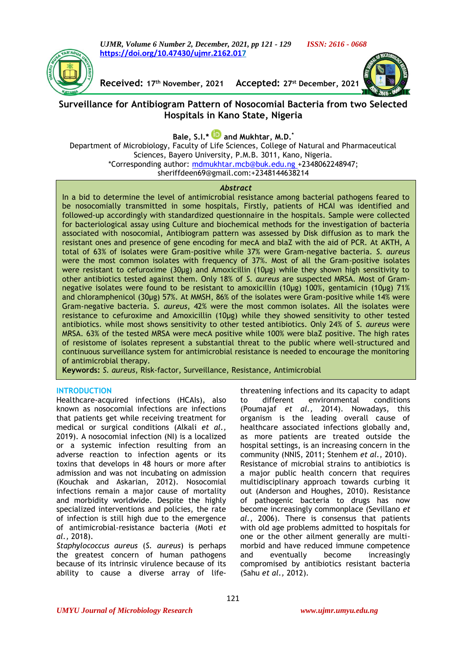*UJMR, Volume 6 Number 2, December, 2021, pp 121 - 129 ISSN: 2616 - 0668* **[https://doi.org/10.47430/ujmr.2162.017](https://doi.org/10.47430/ujmr.2162.01)**



**Received: 17th November, 2021 Accepted: 27 st December, 2021**



# **Surveillance for Antibiogram Pattern of Nosocomial Bacteria from two Selected Hospitals in Kano State, Nigeria**

**Bale, S.I.\* and Mukhtar, M.D. \***

Department of Microbiology, Faculty of Life Sciences, College of Natural and Pharmaceutical Sciences, Bayero University, P.M.B. 3011, Kano, Nigeria. \*Corresponding author: [mdmukhtar.mcb@buk.edu.ng](mailto:mdmukhtar.mcb@buk.edu.ng%20+2348062248947) +2348062248947;

sheriffdeen69@gmail.com:+2348144638214

#### *Abstract*

In a bid to determine the level of antimicrobial resistance among bacterial pathogens feared to be nosocomially transmitted in some hospitals, Firstly, patients of HCAI was identified and followed-up accordingly with standardized questionnaire in the hospitals. Sample were collected for bacteriological assay using Culture and biochemical methods for the investigation of bacteria associated with nosocomial, Antibiogram pattern was assessed by Disk diffusion as to mark the resistant ones and presence of gene encoding for mecA and blaZ with the aid of PCR. At AKTH, A total of 63% of isolates were Gram-positive while 37% were Gram-negative bacteria. *S. aureus* were the most common isolates with frequency of 37%. Most of all the Gram-positive isolates were resistant to cefuroxime (30μg) and Amoxicillin (10μg) while they shown high sensitivity to other antibiotics tested against them. Only 18% of *S. aureus* are suspected MRSA. Most of Gramnegative isolates were found to be resistant to amoxicillin (10μg) 100%, gentamicin (10μg) 71% and chloramphenicol (30μg) 57%. At MMSH, 86% of the isolates were Gram-positive while 14% were Gram-negative bacteria. *S. aureus*, 42% were the most common isolates. All the isolates were resistance to cefuroxime and Amoxicillin (10μg) while they showed sensitivity to other tested antibiotics. while most shows sensitivity to other tested antibiotics. Only 24% of *S. aureus* were MRSA. 63% of the tested MRSA were mecA positive while 100% were blaZ positive. The high rates of resistome of isolates represent a substantial threat to the public where well-structured and continuous surveillance system for antimicrobial resistance is needed to encourage the monitoring of antimicrobial therapy.

**Keywords:** *S. aureus*, Risk-factor, Surveillance, Resistance, Antimicrobial

### **INTRODUCTION**

Healthcare-acquired infections (HCAIs), also known as nosocomial infections are infections that patients get while receiving treatment for medical or surgical conditions (Alkali *et al.,* 2019). A nosocomial infection (NI) is a localized or a systemic infection resulting from an adverse reaction to infection agents or its toxins that develops in 48 hours or more after admission and was not incubating on admission (Kouchak and Askarian, 2012). Nosocomial infections remain a major cause of mortality and morbidity worldwide. Despite the highly specialized interventions and policies, the rate of infection is still high due to the emergence of antimicrobial-resistance bacteria (Moti *et al.,* 2018).

*Staphylococcus aureus* (*S. aureus*) is perhaps the greatest concern of human pathogens because of its intrinsic virulence because of its ability to cause a diverse array of life-

threatening infections and its capacity to adapt to different environmental conditions (Poumajaf *et al.,* 2014). Nowadays, this organism is the leading overall cause of healthcare associated infections globally and, as more patients are treated outside the hospital settings, is an increasing concern in the community (NNIS, 2011; Stenhem *et al.,* 2010). Resistance of microbial strains to antibiotics is a major public health concern that requires multidisciplinary approach towards curbing it out (Anderson and Houghes, 2010). Resistance of pathogenic bacteria to drugs has now become increasingly commonplace (Sevillano *et al.*, 2006). There is consensus that patients with old age problems admitted to hospitals for one or the other ailment generally are multimorbid and have reduced immune competence and eventually become increasingly compromised by antibiotics resistant bacteria (Sahu *et al.,* 2012).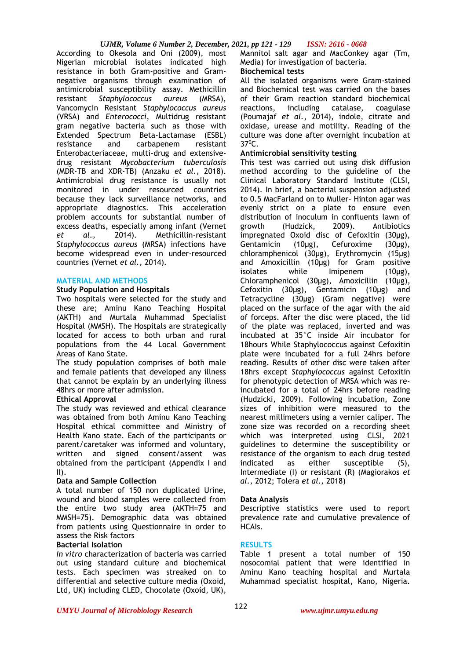## *UJMR, Volume 6 Number 2, December, 2021, pp 121 - 129 ISSN: 2616 - 0668*

According to Okesola and Oni (2009), most Nigerian microbial isolates indicated high resistance in both Gram-positive and Gramnegative organisms through examination of antimicrobial susceptibility assay. Methicillin resistant *Staphylococcus aureus* (MRSA), Vancomycin Resistant *Staphylococcus aureus*  (VRSA) and *Enterococci*, Multidrug resistant gram negative bacteria such as those with Extended Spectrum Beta-Lactamase (ESBL) resistance and carbapenem resistant Enterobacteriaceae, multi-drug and extensivedrug resistant *Mycobacterium tuberculosis*  (MDR-TB and XDR-TB) (Anzaku *et al.,* 2018). Antimicrobial drug resistance is usually not monitored in under resourced countries because they lack surveillance networks, and appropriate diagnostics. This acceleration problem accounts for substantial number of excess deaths, especially among infant (Vernet *et al.,* 2014). Methicillin-resistant *Staphylococcus aureus* (MRSA) infections have become widespread even in under-resourced countries (Vernet *et al.,* 2014).

## **MATERIAL AND METHODS**

### **Study Population and Hospitals**

Two hospitals were selected for the study and these are; Aminu Kano Teaching Hospital (AKTH) and Murtala Muhammad Specialist Hospital (MMSH). The Hospitals are strategically located for access to both urban and rural populations from the 44 Local Government Areas of Kano State.

The study population comprises of both male and female patients that developed any illness that cannot be explain by an underlying illness 48hrs or more after admission.

## **Ethical Approval**

The study was reviewed and ethical clearance was obtained from both Aminu Kano Teaching Hospital ethical committee and Ministry of Health Kano state. Each of the participants or parent/caretaker was informed and voluntary, written and signed consent/assent was obtained from the participant (Appendix I and  $II$ ).

### **Data and Sample Collection**

A total number of 150 non duplicated Urine, wound and blood samples were collected from the entire two study area (AKTH=75 and MMSH=75). Demographic data was obtained from patients using Questionnaire in order to assess the Risk factors

### **Bacterial Isolation**

*In vitro* characterization of bacteria was carried out using standard culture and biochemical tests. Each specimen was streaked on to differential and selective culture media (Oxoid, Ltd, UK) including CLED, Chocolate (Oxoid, UK),

Mannitol salt agar and MacConkey agar (Tm, Media) for investigation of bacteria.

## **Biochemical tests**

All the isolated organisms were Gram-stained and Biochemical test was carried on the bases of their Gram reaction standard biochemical reactions, including catalase, coagulase (Poumajaf *et al.*, 2014), indole, citrate and oxidase, urease and motility. Reading of the culture was done after overnight incubation at  $37^{\circ}$ C.

## **Antimicrobial sensitivity testing**

This test was carried out using disk diffusion method according to the guideline of the Clinical Laboratory Standard Institute (CLSI, 2014). In brief, a bacterial suspension adjusted to 0.5 MacFarland on to Muller- Hinton agar was evenly strict on a plate to ensure even distribution of inoculum in confluents lawn of growth (Hudzick, 2009). Antibiotics impregnated Oxoid disc of Cefoxitin (30μg), Gentamicin (10μg), Cefuroxime (30μg), chloramphenicol (30μg), Erythromycin (15μg) and Amoxicillin (10μg) for Gram positive isolates while Imipenem (10μg), Chloramphenicol (30μg), Amoxicillin (10μg), Cefoxitin (30μg), Gentamicin (10μg) and Tetracycline (30μg) (Gram negative) were placed on the surface of the agar with the aid of forceps. After the disc were placed, the lid of the plate was replaced, inverted and was incubated at 35°C inside Air incubator for 18hours While Staphylococcus against Cefoxitin plate were incubated for a full 24hrs before reading. Results of other disc were taken after 18hrs except *Staphylococcus* against Cefoxitin for phenotypic detection of MRSA which was reincubated for a total of 24hrs before reading (Hudzicki, 2009). Following incubation, Zone sizes of inhibition were measured to the nearest millimeters using a vernier caliper. The zone size was recorded on a recording sheet which was interpreted using CLSI, 2021 guidelines to determine the susceptibility or resistance of the organism to each drug tested indicated as either susceptible (S), Intermediate (I) or resistant (R) (Magiorakos *et al.,* 2012; Tolera *et al.,* 2018)

## **Data Analysis**

Descriptive statistics were used to report prevalence rate and cumulative prevalence of HCAIs.

### **RESULTS**

Table 1 present a total number of 150 nosocomial patient that were identified in Aminu Kano teaching hospital and Murtala Muhammad specialist hospital, Kano, Nigeria.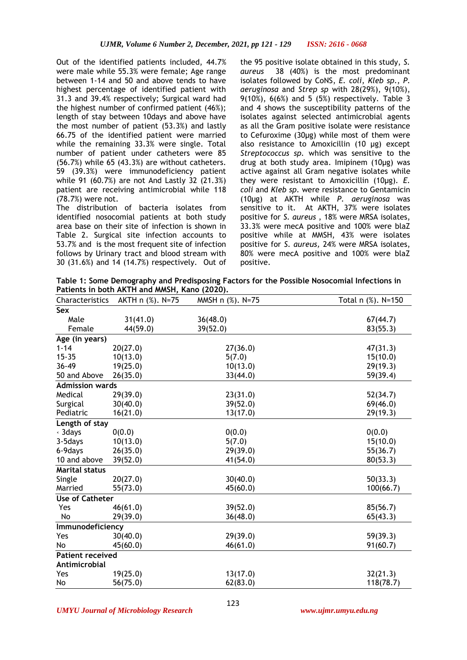Out of the identified patients included, 44.7% were male while 55.3% were female; Age range between 1-14 and 50 and above tends to have highest percentage of identified patient with 31.3 and 39.4% respectively; Surgical ward had the highest number of confirmed patient (46%); length of stay between 10days and above have the most number of patient (53.3%) and lastly 66.75 of the identified patient were married while the remaining 33.3% were single. Total number of patient under catheters were 85 (56.7%) while 65 (43.3%) are without catheters. 59 (39.3%) were immunodeficiency patient while 91 (60.7%) are not And Lastly 32 (21.3%) patient are receiving antimicrobial while 118 (78.7%) were not.

The distribution of bacteria isolates from identified nosocomial patients at both study area base on their site of infection is shown in Table 2. Surgical site infection accounts to 53.7% and is the most frequent site of infection follows by Urinary tract and blood stream with 30 (31.6%) and 14 (14.7%) respectively. Out of the 95 positive isolate obtained in this study, *S. aureus* 38 (40%) is the most predominant isolates followed by CoNS, *E. coli*, *Kleb sp*., *P. aeruginosa* and *Strep sp* with 28(29%), 9(10%), 9(10%), 6(6%) and 5 (5%) respectively. Table 3 and 4 shows the susceptibility patterns of the isolates against selected antimicrobial agents as all the Gram positive isolate were resistance to Cefuroxime (30μg) while most of them were also resistance to Amoxicillin (10 μg) except *Streptococcus sp.* which was sensitive to the drug at both study area. Imipinem (10μg) was active against all Gram negative isolates while they were resistant to Amoxicillin (10μg). *E. coli* and *Kleb sp*. were resistance to Gentamicin (10μg) at AKTH while *P. aeruginosa* was sensitive to it. At AKTH, 37% were isolates positive for *S. aureus* , 18% were MRSA isolates, 33.3% were mecA positive and 100% were blaZ positive while at MMSH, 43% were isolates positive for *S. aureus,* 24% were MRSA isolates, 80% were mecA positive and 100% were blaZ positive.

**Table 1: Some Demography and Predisposing Factors for the Possible Nosocomial Infections in Patients in both AKTH and MMSH, Kano (2020).**

| Characteristics         | AKTH n (%). N=75 | MMSH n (%). N=75 | Total n (%). N=150 |
|-------------------------|------------------|------------------|--------------------|
| <b>Sex</b>              |                  |                  |                    |
| Male                    | 31(41.0)         | 36(48.0)         | 67(44.7)           |
| Female                  | 44(59.0)         | 39(52.0)         | 83(55.3)           |
| Age (in years)          |                  |                  |                    |
| $1 - 14$                | 20(27.0)         | 27(36.0)         | 47(31.3)           |
| $15 - 35$               | 10(13.0)         | 5(7.0)           | 15(10.0)           |
| 36-49                   | 19(25.0)         | 10(13.0)         | 29(19.3)           |
| 50 and Above            | 26(35.0)         | 33(44.0)         | 59(39.4)           |
| <b>Admission wards</b>  |                  |                  |                    |
| Medical                 | 29(39.0)         | 23(31.0)         | 52(34.7)           |
| Surgical                | 30(40.0)         | 39(52.0)         | 69(46.0)           |
| Pediatric               | 16(21.0)         | 13(17.0)         | 29(19.3)           |
| Length of stay          |                  |                  |                    |
| ⋅ 3days                 | 0(0.0)           | 0(0.0)           | 0(0.0)             |
| 3-5 days                | 10(13.0)         | 5(7.0)           | 15(10.0)           |
| 6-9days                 | 26(35.0)         | 29(39.0)         | 55(36.7)           |
| 10 and above            | 39(52.0)         | 41(54.0)         | 80(53.3)           |
| <b>Marital status</b>   |                  |                  |                    |
| Single                  | 20(27.0)         | 30(40.0)         | 50(33.3)           |
| Married                 | 55(73.0)         | 45(60.0)         | 100(66.7)          |
| <b>Use of Catheter</b>  |                  |                  |                    |
| Yes                     | 46(61.0)         | 39(52.0)         | 85(56.7)           |
| No                      | 29(39.0)         | 36(48.0)         | 65(43.3)           |
| Immunodeficiency        |                  |                  |                    |
| Yes                     | 30(40.0)         | 29(39.0)         | 59(39.3)           |
| No                      | 45(60.0)         | 46(61.0)         | 91(60.7)           |
| <b>Patient received</b> |                  |                  |                    |
| Antimicrobial           |                  |                  |                    |
| Yes                     | 19(25.0)         | 13(17.0)         | 32(21.3)           |
| No                      | 56(75.0)         | 62(83.0)         | 118(78.7)          |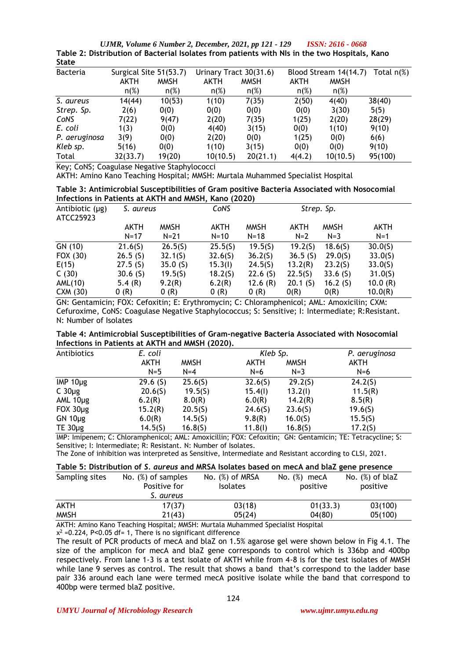*UJMR, Volume 6 Number 2, December, 2021, pp 121 - 129 ISSN: 2616 - 0668* **Table 2: Distribution of Bacterial Isolates from patients with NIs in the two Hospitals, Kano State**

| scacc           |                        |             |                        |             |                       |               |         |
|-----------------|------------------------|-------------|------------------------|-------------|-----------------------|---------------|---------|
| <b>Bacteria</b> | Surgical Site 51(53.7) |             | Urinary Tract 30(31.6) |             | Blood Stream 14(14.7) | Total $n(\%)$ |         |
|                 | AKTH                   | <b>MMSH</b> | AKTH                   | <b>MMSH</b> | AKTH                  | <b>MMSH</b>   |         |
|                 | $n(\%)$                | $n(\%)$     | $n(\%)$                | $n(\%)$     | $n(\%)$               | $n(\%)$       |         |
| S. aureus       | 14(44)                 | 10(53)      | 1(10)                  | 7(35)       | 2(50)                 | 4(40)         | 38(40)  |
| Strep. Sp.      | 2(6)                   | 0(0)        | 0(0)                   | 0(0)        | 0(0)                  | 3(30)         | 5(5)    |
| CoNS            | 7(22)                  | 9(47)       | 2(20)                  | 7(35)       | 1(25)                 | 2(20)         | 28(29)  |
| E. coli         | 1(3)                   | 0(0)        | 4(40)                  | 3(15)       | 0(0)                  | 1(10)         | 9(10)   |
| P. aeruginosa   | 3(9)                   | 0(0)        | 2(20)                  | 0(0)        | 1(25)                 | 0(0)          | 6(6)    |
| Kleb sp.        | 5(16)                  | 0(0)        | 1(10)                  | 3(15)       | 0(0)                  | 0(0)          | 9(10)   |
| Total           | 32(33.7)               | 19(20)      | 10(10.5)               | 20(21.1)    | 4(4.2)                | 10(10.5)      | 95(100) |

Key; CoNS; Coagulase Negative Staphylococci

AKTH: Amino Kano Teaching Hospital; MMSH: Murtala Muhammed Specialist Hospital

| Table 3: Antimicrobial Susceptibilities of Gram positive Bacteria Associated with Nosocomial |  |  |  |
|----------------------------------------------------------------------------------------------|--|--|--|
| Infections in Patients at AKTH and MMSH, Kano (2020)                                         |  |  |  |

| Antibiotic $(\mu g)$<br>ATCC25923 | S. aureus   |             | CoNS        |             |         | Strep. Sp.  |             |  |
|-----------------------------------|-------------|-------------|-------------|-------------|---------|-------------|-------------|--|
|                                   | <b>AKTH</b> | <b>MMSH</b> | <b>AKTH</b> | <b>MMSH</b> | AKTH    | <b>MMSH</b> | <b>AKTH</b> |  |
|                                   | $N = 17$    | $N = 21$    | $N = 10$    | $N = 18$    | $N=2$   | $N=3$       | $N=1$       |  |
| GN (10)                           | 21.6(5)     | 26.5(5)     | 25.5(5)     | 19.5(5)     | 19.2(5) | 18.6(5)     | 30.0(5)     |  |
| FOX (30)                          | 26.5(S)     | 32.1(5)     | 32.6(5)     | 36.2(S)     | 36.5(S) | 29.0(5)     | 33.0(5)     |  |
| E(15)                             | 27.5(5)     | 35.0(S)     | 15.3(l)     | 24.5(5)     | 13.2(R) | 23.2(5)     | 33.0(5)     |  |
| C(30)                             | 30.6(S)     | 19.5(5)     | 18.2(5)     | 22.6(S)     | 22.5(5) | 33.6(S)     | 31.0(5)     |  |
| AML(10)                           | 5.4 $(R)$   | 9.2(R)      | 6.2(R)      | 12.6 $(R)$  | 20.1(S) | 16.2 $(5)$  | 10.0(R)     |  |
| CXM (30)                          | 0(R)        | 0(R)        | 0(R)        | 0(R)        | O(R)    | O(R)        | 10.0(R)     |  |

GN: Gentamicin; FOX: Cefoxitin; E: Erythromycin; C: Chloramphenicol; AML: Amoxicilin; CXM: Cefuroxime, CoNS: Coagulase Negative Staphylococcus; S: Sensitive; I: Intermediate; R:Resistant. N: Number of Isolates

|                                                 | Table 4: Antimicrobial Susceptibilities of Gram-negative Bacteria Associated with Nosocomial |
|-------------------------------------------------|----------------------------------------------------------------------------------------------|
| Infections in Patients at AKTH and MMSH (2020). |                                                                                              |

| Antibiotics      | E. coli    |             | Kleb Sp. |             | P. aeruginosa |
|------------------|------------|-------------|----------|-------------|---------------|
|                  | AKTH       | <b>MMSH</b> | AKTH     | <b>MMSH</b> | AKTH          |
|                  | $N=5$      | $N = 4$     | $N=6$    | $N=3$       | $N=6$         |
| IMP $10\mu$ g    | 29.6(S)    | 25.6(5)     | 32.6(5)  | 29.2(5)     | 24.2(S)       |
| $C$ 30 $\mu$ g   | 20.6(5)    | 19.5(5)     | 15.4(l)  | 13.2(l)     | 11.5(R)       |
| AML $10\mu$ g    | 6.2(R)     | 8.0(R)      | 6.0(R)   | 14.2(R)     | 8.5(R)        |
| $FOX$ 30 $\mu$ g | 15.2(R)    | 20.5(5)     | 24.6(5)  | 23.6(5)     | 19.6(5)       |
| $GN 10\mu g$     | 6.0(R)     | 14.5(5)     | 9.8(R)   | 16.0(S)     | 15.5(5)       |
| TE $30\mu$ g     | $14.5($ S) | 16.8(5)     | 11.8(l)  | 16.8(5)     | 17.2(5)       |

IMP: Imipenem; C: Chloramphenicol; AML: Amoxicillin; FOX: Cefoxitin; GN: Gentamicin; TE: Tetracycline; S: Sensitive; I: Intermediate; R: Resistant. N: Number of Isolates.

The Zone of inhibition was interpreted as Sensitive, Intermediate and Resistant according to CLSI, 2021.

| Table 5: Distribution of S. aureus and MRSA Isolates based on mecA and blaZ gene presence |  |
|-------------------------------------------------------------------------------------------|--|
|-------------------------------------------------------------------------------------------|--|

| Sampling sites | No. $(\%)$ of samples<br>Positive for<br>S. aureus | No. $(\%)$ of MRSA<br><b>Isolates</b> | No. $(\%)$ mecA<br>positive | No. $(\%)$ of blaZ<br>positive |
|----------------|----------------------------------------------------|---------------------------------------|-----------------------------|--------------------------------|
| AKTH           | 17(37)                                             | 03(18)                                | 01(33.3)                    | 03(100)                        |
| <b>MMSH</b>    | 21(43)                                             | 05(24)                                | 04(80)                      | 05(100)                        |

AKTH: Amino Kano Teaching Hospital; MMSH: Murtala Muhammed Specialist Hospital

 $x^2$  =0.224, P<0.05 df= 1, There is no significant difference

The result of PCR products of mecA and blaZ on 1.5% agarose gel were shown below in Fig 4.1. The size of the amplicon for mecA and blaZ gene corresponds to control which is 336bp and 400bp respectively. From lane 1-3 is a test isolate of AKTH while from 4-8 is for the test isolates of MMSH while lane 9 serves as control. The result that shows a band that's correspond to the ladder base pair 336 around each lane were termed mecA positive isolate while the band that correspond to 400bp were termed blaZ positive.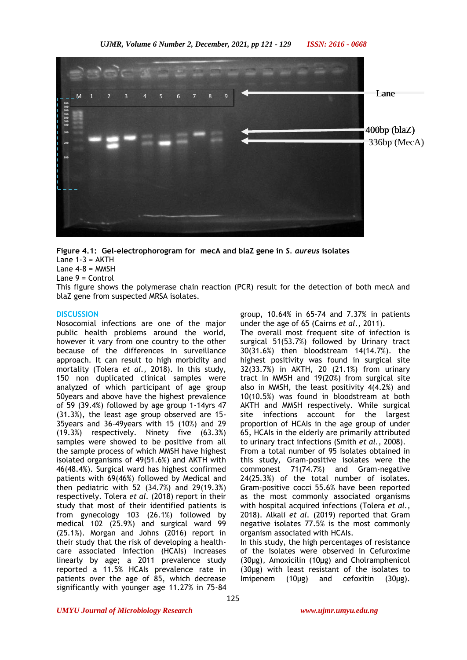

**Figure 4.1: Gel-electrophorogram for mecA and blaZ gene in** *S. aureus* **isolates** Lane  $1-3 = AKTH$ Lane  $4-8 =$  MMSH

Lane 9 = Control

This figure shows the polymerase chain reaction (PCR) result for the detection of both mecA and blaZ gene from suspected MRSA isolates.

#### **DISCUSSION**

Nosocomial infections are one of the major public health problems around the world, however it vary from one country to the other because of the differences in surveillance approach. It can result to high morbidity and mortality (Tolera *et al.,* 2018). In this study, 150 non duplicated clinical samples were analyzed of which participant of age group 50years and above have the highest prevalence of 59 (39.4%) followed by age group 1-14yrs 47 (31.3%), the least age group observed are 15- 35years and 36-49years with 15 (10%) and 29 (19.3%) respectively. Ninety five (63.3%) samples were showed to be positive from all the sample process of which MMSH have highest isolated organisms of 49(51.6%) and AKTH with 46(48.4%). Surgical ward has highest confirmed patients with 69(46%) followed by Medical and then pediatric with 52 (34.7%) and 29(19.3%) respectively. Tolera *et al.* (2018) report in their study that most of their identified patients is from gynecology 103 (26.1%) followed by medical 102 (25.9%) and surgical ward 99 (25.1%). Morgan and Johns (2016) report in their study that the risk of developing a healthcare associated infection (HCAIs) increases linearly by age; a 2011 prevalence study reported a 11.5% HCAIs prevalence rate in patients over the age of 85, which decrease significantly with younger age 11.27% in 75-84

group, 10.64% in 65-74 and 7.37% in patients under the age of 65 (Cairns *et al.,* 2011).

The overall most frequent site of infection is surgical 51(53.7%) followed by Urinary tract 30(31.6%) then bloodstream 14(14.7%). the highest positivity was found in surgical site 32(33.7%) in AKTH, 20 (21.1%) from urinary tract in MMSH and 19(20%) from surgical site also in MMSH, the least positivity 4(4.2%) and 10(10.5%) was found in bloodstream at both AKTH and MMSH respectively. While surgical site infections account for the largest proportion of HCAIs in the age group of under 65, HCAIs in the elderly are primarily attributed to urinary tract infections (Smith *et al.,* 2008). From a total number of 95 isolates obtained in this study, Gram-positive isolates were the commonest 71(74.7%) and Gram-negative 24(25.3%) of the total number of isolates. Gram-positive cocci 55.6% have been reported as the most commonly associated organisms with hospital acquired infections (Tolera *et al.,* 2018). Alkali *et al.* (2019) reported that Gram negative isolates 77.5% is the most commonly organism associated with HCAIs.

In this study, the high percentages of resistance of the isolates were observed in Cefuroxime (30μg), Amoxicilin (10μg) and Cholramphenicol (30μg) with least resistant of the isolates to Imipenem (10μg) and cefoxitin (30μg).

125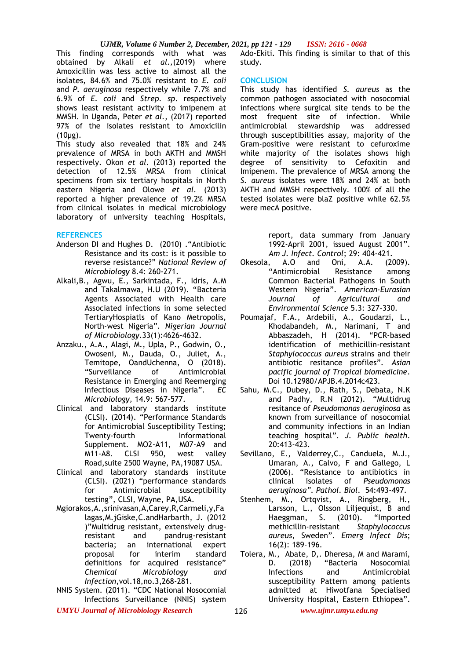#### *UJMR, Volume 6 Number 2, December, 2021, pp 121 - 129 ISSN: 2616 - 0668*

This finding corresponds with what was obtained by Alkali *et al.,*(2019) where Amoxicillin was less active to almost all the isolates, 84.6% and 75.0% resistant to *E. coli* and *P. aeruginosa* respectively while 7.7% and 6.9% of *E. coli* and *Strep. sp*. respectively shows least resistant activity to imipenem at MMSH. In Uganda, Peter *et al.,* (2017) reported 97% of the isolates resistant to Amoxicilin (10μg).

This study also revealed that 18% and 24% prevalence of MRSA in both AKTH and MMSH respectively. Okon *et al.* (2013) reported the detection of 12.5% MRSA from clinical specimens from six tertiary hospitals in North eastern Nigeria and Olowe *et al.* (2013) reported a higher prevalence of 19.2% MRSA from clinical isolates in medical microbiology laboratory of university teaching Hospitals,

#### **REFERENCES**

- Anderson DI and Hughes D. (2010) ."Antibiotic Resistance and its cost: is it possible to reverse resistance?" *National Review of Microbiology* 8.4: 260-271.
- Alkali,B., Agwu, E., Sarkintada, F., Idris, A.M and Takalmawa, H.U (2019). "Bacteria Agents Associated with Health care Associated infections in some selected TertiaryHospiatls of Kano Metropolis, North-west Nigeria". *Nigerian Journal of Microbiology*.33(1):4626-4632.
- Anzaku., A.A., Alagi, M., Upla, P., Godwin, O., Owoseni, M., Dauda, O., Juliet, A., Temitope, OandUchenna, O (2018). "Surveillance of Antimicrobial Resistance in Emerging and Reemerging Infectious Diseases in Nigeria". *EC Microbiology,* 14.9: 567-577.
- Clinical and laboratory standards institute (CLSI). (2014). "Performance Standards for Antimicrobial Susceptibility Testing; Twenty-fourth Informational Supplement. MO2-A11, M07-A9 and M11-A8. CLSI 950, west valley Road,suite 2500 Wayne, PA,19087 USA.
- Clinical and laboratory standards institute (CLSI). (2021) "performance standards for Antimicrobial susceptibility testing", CLSI, Wayne, PA,USA.
- Mgiorakos,A.,srinivasan,A,Carey,R,Carmeli,y,Fa lagas,M.jGiske,C.andHarbarth, J. (2012 )"Multidrug resistant, extensively drugresistant and pandrug-resistant bacteria; an international expert proposal for interim standard definitions for acquired resistance" *Chemical Microbiology and Infection*,vol.18,no.3,268-281.
- NNIS System. (2011). "CDC National Nosocomial Infections Surveillance (NNIS) system

Ado-Ekiti. This finding is similar to that of this study.

#### **CONCLUSION**

This study has identified *S. aureus* as the common pathogen associated with nosocomial infections where surgical site tends to be the most frequent site of infection. While antimicrobial stewardship was addressed through susceptibilities assay, majority of the Gram-positive were resistant to cefuroxime while majority of the isolates shows high degree of sensitivity to Cefoxitin and Imipenem. The prevalence of MRSA among the *S. aureus* isolates were 18% and 24% at both AKTH and MMSH respectively. 100% of all the tested isolates were blaZ positive while 62.5% were mecA positive.

> report, data summary from January 1992-April 2001, issued August 2001".

- *Am J. Infect. Control*; 29: 404-421. A.O and Oni, A.A. "Antimicrobial Resistance among Common Bacterial Pathogens in South Western Nigeria". *American-Eurasian Journal of Agricultural and Environmental Science* 5.3: 327-330.
- Poumajaf, F.A., Ardebili, A., Goudarzi, L., Khodabandeh, M., Narimani, T and Abbaszadeh, H (2014). "PCR-based identification of methicillin-resistant *Staphylococcus aureus* strains and their antibiotic resitance profiles". *Asian pacific journal of Tropical biomedicine*. Doi 10.12980/APJB.4.2014c423.
- Sahu, M.C., Dubey, D., Rath, S., Debata, N.K and Padhy, R.N (2012). "Multidrug resitance of *Pseudomonas aeruginosa* as known from surveillance of nosocomial and community infections in an Indian teaching hospital". *J. Public health*. 20:413-423.
- Sevillano, E., Valderrey,C., Canduela, M.J., Umaran, A., Calvo, F and Gallego, L (2006). "Resistance to antibiotics in clinical isolates of *Pseudomonas* clinical *isolates* of *aeruginosa". Pathol. Biol*. 54:493-497.
- Stenhem, M., Ortqvist, A., Ringberg, H., Larsson, L., Olsson Liljequist, B and Haeggman, S. (2010). "Imported methicillin-resistant *Staphylococcus aureus*, Sweden". *Emerg Infect Dis*; 16(2): 189-196.
- Tolera, M., Abate, D,. Dheresa, M and Marami, D. (2018) "Bacteria Nosocomial Infections and Antimicrobial susceptibility Pattern among patients admitted at Hiwotfana Specialised University Hospital, Eastern Ethiopea".
- *UMYU Journal of Microbiology Research www.ujmr.umyu.edu.ng*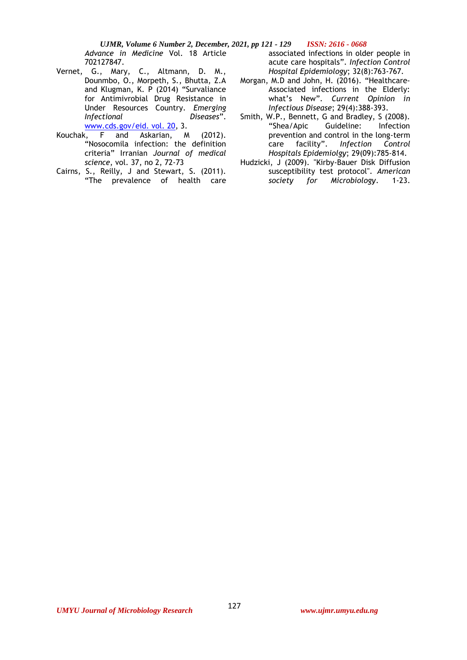*UJMR, Volume 6 Number 2, December, 2021, pp 121 - 129 ISSN: 2616 - 0668 Advance in Medicine* Vol. 18 Article 702127847.

- Vernet, G., Mary, C., Altmann, D. M., Dounmbo, O., Morpeth, S., Bhutta, Z.A and Klugman, K. P (2014) "Survaliance for Antimivrobial Drug Resistance in Under Resources Country. *Emerging Infectional Diseases*". [www.cds.gov/eid. vol. 20,](http://www.cds.gov/eid.%20vol.%2020) 3.
- Kouchak, F and Askarian, M (2012). "Nosocomila infection: the definition criteria" Irranian *Journal of medical science*, vol. 37, no 2, 72-73
- Cairns, S., Reilly, J and Stewart, S. (2011). "The prevalence of health care

associated infections in older people in acute care hospitals". *Infection Control Hospital Epidemiology*; 32(8):763-767.

- Morgan, M.D and John, H. (2016). "Healthcare-Associated infections in the Elderly: what's New". *Current Opinion in Infectious Disease*; 29(4):388-393.
- Smith, W.P., Bennett, G and Bradley, S (2008). "Shea/Apic Guideline: Infection prevention and control in the long-term<br>care facility". Infection Control care facility". *Infection Control Hospitals Epidemiolgy*; 29(09):785-814.
- Hudzicki, J (2009). "Kirby-Bauer Disk Diffusion susceptibility test protocol". *American society for Microbiology*. 1-23.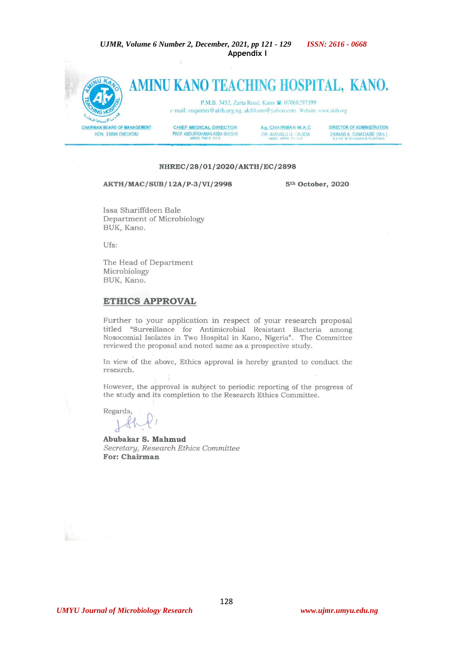UJMR, Volume 6 Number 2, December, 2021, pp 121 - 129 **ISSN: 2616 - 0668** Appendix I



#### NHREC/28/01/2020/AKTH/EC/2898

## AKTH/MAC/SUB/12A/P-3/VI/2998

5<sup>th</sup> October, 2020

Issa Shariffdeen Bale Department of Microbiology BUK, Kano.

Ufs:

The Head of Department Microbiology BUK, Kano.

### **ETHICS APPROVAL**

Further to your application in respect of your research proposal titled "Surveillance for Antimicrobial Resistant Bacteria among Nosocomial Isolates in Two Hospital in Kano, Nigeria". The Committee reviewed the proposal and noted same as a prospective study.

In view of the above, Ethics approval is hereby granted to conduct the research.

However, the approval is subject to periodic reporting of the progress of the study and its completion to the Research Ethics Committee.

Regards

Abubakar S. Mahmud Secretary, Research Ethics Committee For: Chairman